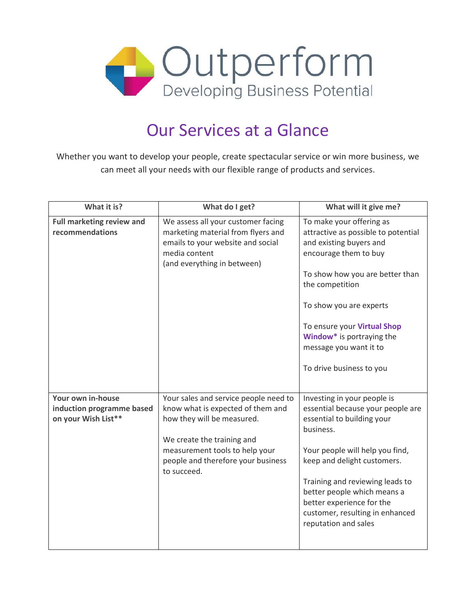

## Our Services at a Glance

Whether you want to develop your people, create spectacular service or win more business, we can meet all your needs with our flexible range of products and services.

| What it is?                                                           | What do I get?                                                                                                                                                                                                                | What will it give me?                                                                                                                                                                                                                                                                                                                   |
|-----------------------------------------------------------------------|-------------------------------------------------------------------------------------------------------------------------------------------------------------------------------------------------------------------------------|-----------------------------------------------------------------------------------------------------------------------------------------------------------------------------------------------------------------------------------------------------------------------------------------------------------------------------------------|
| <b>Full marketing review and</b><br>recommendations                   | We assess all your customer facing<br>marketing material from flyers and<br>emails to your website and social<br>media content<br>(and everything in between)                                                                 | To make your offering as<br>attractive as possible to potential<br>and existing buyers and<br>encourage them to buy<br>To show how you are better than<br>the competition<br>To show you are experts<br>To ensure your Virtual Shop<br>Window* is portraying the<br>message you want it to<br>To drive business to you                  |
| Your own in-house<br>induction programme based<br>on your Wish List** | Your sales and service people need to<br>know what is expected of them and<br>how they will be measured.<br>We create the training and<br>measurement tools to help your<br>people and therefore your business<br>to succeed. | Investing in your people is<br>essential because your people are<br>essential to building your<br>business.<br>Your people will help you find,<br>keep and delight customers.<br>Training and reviewing leads to<br>better people which means a<br>better experience for the<br>customer, resulting in enhanced<br>reputation and sales |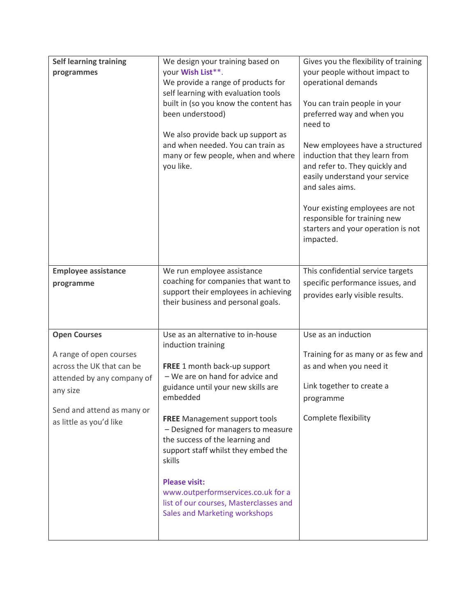| <b>Self learning training</b><br>programmes                                                                                                                                    | We design your training based on<br>your Wish List**.<br>We provide a range of products for<br>self learning with evaluation tools<br>built in (so you know the content has<br>been understood)<br>We also provide back up support as<br>and when needed. You can train as<br>many or few people, when and where<br>you like.                                                                                                                                                           | Gives you the flexibility of training<br>your people without impact to<br>operational demands<br>You can train people in your<br>preferred way and when you<br>need to<br>New employees have a structured<br>induction that they learn from<br>and refer to. They quickly and<br>easily understand your service<br>and sales aims.<br>Your existing employees are not<br>responsible for training new<br>starters and your operation is not<br>impacted. |
|--------------------------------------------------------------------------------------------------------------------------------------------------------------------------------|-----------------------------------------------------------------------------------------------------------------------------------------------------------------------------------------------------------------------------------------------------------------------------------------------------------------------------------------------------------------------------------------------------------------------------------------------------------------------------------------|----------------------------------------------------------------------------------------------------------------------------------------------------------------------------------------------------------------------------------------------------------------------------------------------------------------------------------------------------------------------------------------------------------------------------------------------------------|
| <b>Employee assistance</b><br>programme                                                                                                                                        | We run employee assistance<br>coaching for companies that want to<br>support their employees in achieving<br>their business and personal goals.                                                                                                                                                                                                                                                                                                                                         | This confidential service targets<br>specific performance issues, and<br>provides early visible results.                                                                                                                                                                                                                                                                                                                                                 |
| <b>Open Courses</b><br>A range of open courses<br>across the UK that can be<br>attended by any company of<br>any size<br>Send and attend as many or<br>as little as you'd like | Use as an alternative to in-house<br>induction training<br>FREE 1 month back-up support<br>- We are on hand for advice and<br>guidance until your new skills are<br>embedded<br><b>FREE</b> Management support tools<br>- Designed for managers to measure<br>the success of the learning and<br>support staff whilst they embed the<br>skills<br><b>Please visit:</b><br>www.outperformservices.co.uk for a<br>list of our courses, Masterclasses and<br>Sales and Marketing workshops | Use as an induction<br>Training for as many or as few and<br>as and when you need it<br>Link together to create a<br>programme<br>Complete flexibility                                                                                                                                                                                                                                                                                                   |